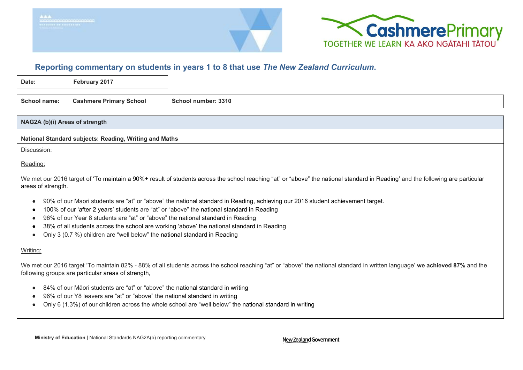



# **Reporting commentary on students in years 1 to 8 that use** *The New Zealand Curricul um***.**

| Date:        | February 2017                  |                     |
|--------------|--------------------------------|---------------------|
|              |                                |                     |
| School name: | <b>Cashmere Primary School</b> | School number: 3310 |

### **NAG2A (b)(i) Areas of strength**

**National Standard subjects: Reading, Writing and Maths**

Discussion:

Reading:

We met our 2016 target of 'To maintain a 90%+ result of students across the school reaching "at" or "above" the national standard in Reading' and the following are particular areas of strength.

- 90% of our Maori students are "at" or "above" the national standard in Reading, achieving our 2016 student achievement target.
- 100% of our 'after 2 years' students are "at" or "above" the national standard in Reading
- 96% of our Year 8 students are "at" or "above" the national standard in Reading
- 38% of all students across the school are working 'above' the national standard in Reading
- Only 3 (0.7 %) children are "well below" the national standard in Reading

## Writing:

We met our 2016 target 'To maintain 82% - 88% of all students across the school reaching "at" or "above" the national standard in written language' **we achieved 87%** and the following groups are particular areas of strength,

- 84% of our Māori students are "at" or "above" the national standard in writing
- 96% of our Y8 leavers are "at" or "above" the national standard in writing
- Only 6 (1.3%) of our children across the whole school are "well below" the national standard in writing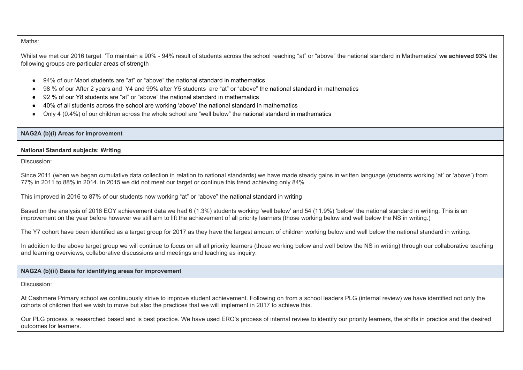#### Maths:

Whilst we met our 2016 target 'To maintain a 90% - 94% result of students across the school reaching "at" or "above" the national standard in Mathematics' **we achieved 93%** the following groups are particular areas of strength

- 94% of our Maori students are "at" or "above" the national standard in mathematics
- 98 % of our After 2 years and Y4 and 99% after Y5 students are "at" or "above" the national standard in mathematics
- 92 % of our Y8 students are "at" or "above" the national standard in mathematics
- 40% of all students across the school are working 'above' the national standard in mathematics
- Only 4 (0.4%) of our children across the whole school are "well below" the national standard in mathematics

#### **NAG2A (b)(i) Areas for improvement**

#### **National Standard subjects: Writing**

Discussion:

Since 2011 (when we began cumulative data collection in relation to national standards) we have made steady gains in written language (students working 'at' or 'above') from 77% in 2011 to 88% in 2014. In 2015 we did not meet our target or continue this trend achieving only 84%.

This improved in 2016 to 87% of our students now working "at" or "above" the national standard in writing

Based on the analysis of 2016 EOY achievement data we had 6 (1.3%) students working 'well below' and 54 (11.9%) 'below' the national standard in writing. This is an improvement on the year before however we still aim to lift the achievement of all priority learners (those working below and well below the NS in writing.)

The Y7 cohort have been identified as a target group for 2017 as they have the largest amount of children working below and well below the national standard in writing.

In addition to the above target group we will continue to focus on all all priority learners (those working below and well below the NS in writing) through our collaborative teaching and learning overviews, collaborative discussions and meetings and teaching as inquiry.

## **NAG2A (b)(ii) Basis for identifying areas for improvement**

Discussion:

At Cashmere Primary school we continuously strive to improve student achievement. Following on from a school leaders PLG (internal review) we have identified not only the cohorts of children that we wish to move but also the practices that we will implement in 2017 to achieve this.

Our PLG process is researched based and is best practice. We have used ERO's process of internal review to identify our priority learners, the shifts in practice and the desired outcomes for learners.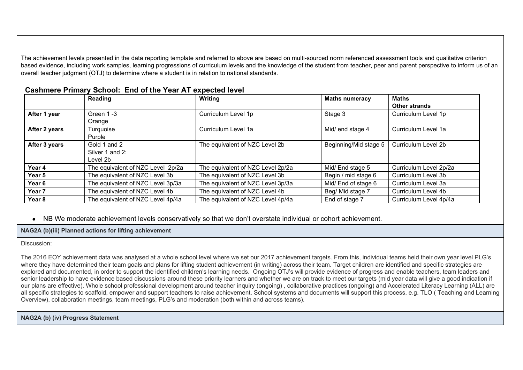The achievement levels presented in the data reporting template and referred to above are based on multi-sourced norm referenced assessment tools and qualitative criterion based evidence, including work samples, learning progressions of curriculum levels and the knowledge of the student from teacher, peer and parent perspective to inform us of an overall teacher judgment (OTJ) to determine where a student is in relation to national standards.

|                   | Reading                                     | Writina                           | <b>Maths numeracy</b> | <b>Maths</b><br><b>Other strands</b> |
|-------------------|---------------------------------------------|-----------------------------------|-----------------------|--------------------------------------|
| After 1 year      | Green 1-3<br>Orange                         | Curriculum Level 1p               | Stage 3               | Curriculum Level 1p                  |
| After 2 years     | Turquoise<br>Purple                         | Curriculum Level 1a               | Mid/ end stage 4      | Curriculum Level 1a                  |
| After 3 years     | Gold 1 and 2<br>Silver 1 and 2:<br>Level 2b | The equivalent of NZC Level 2b    | Beginning/Mid stage 5 | Curriculum Level 2b                  |
| Year 4            | The equivalent of NZC Level 2p/2a           | The equivalent of NZC Level 2p/2a | Mid/ End stage 5      | Curriculum Level 2p/2a               |
| Year 5            | The equivalent of NZC Level 3b              | The equivalent of NZC Level 3b    | Begin / mid stage 6   | Curriculum Level 3b                  |
| Year 6            | The equivalent of NZC Level 3p/3a           | The equivalent of NZC Level 3p/3a | Mid/ End of stage 6   | Curriculum Level 3a                  |
| Year <sub>7</sub> | The equivalent of NZC Level 4b              | The equivalent of NZC Level 4b    | Beg/ Mid stage 7      | Curriculum Level 4b                  |
| Year 8            | The equivalent of NZC Level 4p/4a           | The equivalent of NZC Level 4p/4a | End of stage 7        | Curriculum Level 4p/4a               |

# **Cashmere Primary School: End of the Year AT expected level**

● NB We moderate achievement levels conservatively so that we don't overstate individual or cohort achievement.

**NAG2A (b)(iii) Planned actions for lifting achievement**

#### Discussion:

The 2016 EOY achievement data was analysed at a whole school level where we set our 2017 achievement targets. From this, individual teams held their own year level PLG's where they have determined their team goals and plans for lifting student achievement (in writing) across their team. Target children are identified and specific strategies are explored and documented, in order to support the identified children's learning needs. Ongoing OTJ's will provide evidence of progress and enable teachers, team leaders and senior leadership to have evidence based discussions around these priority learners and whether we are on track to meet our targets (mid year data will give a good indication if our plans are effective). Whole school professional development around teacher inquiry (ongoing) , collaborative practices (ongoing) and Accelerated Literacy Learning (ALL) are all specific strategies to scaffold, empower and support teachers to raise achievement. School systems and documents will support this process, e.g. TLO ( Teaching and Learning Overview), collaboration meetings, team meetings, PLG's and moderation (both within and across teams).

# **NAG2A (b) (iv) Progress Statement**